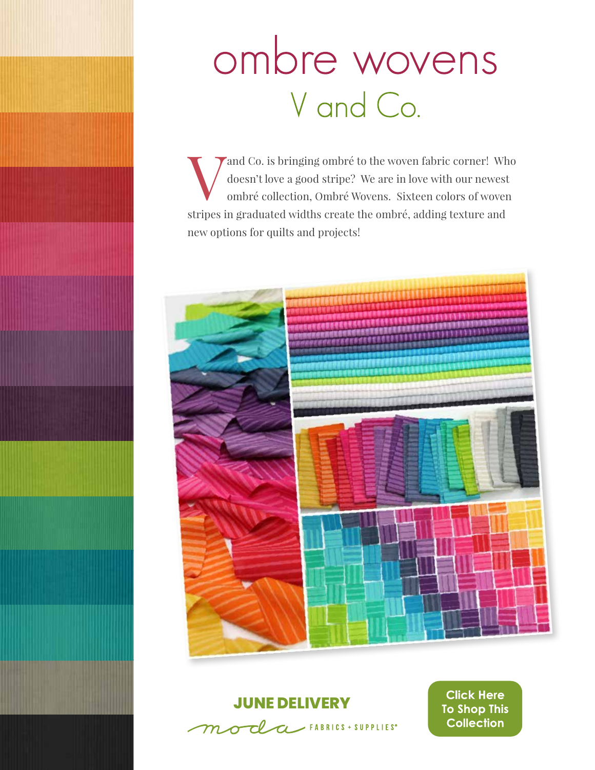# ombre wovens V and Co.

and Co. is bringing ombré to the woven fabric corner! Who doesn't love a good stripe? We are in love with our newest ombré collection, Ombré Wovens. Sixteen colors of woven doesn't love a good stripe? We are in love with our newest ombré collection, Ombré Wovens. Sixteen colors of woven stripes in graduated widths create the ombré, adding texture and new options for quilts and projects!



#### **JUNE DELIVERY**



**Click Here To Shop This Collection**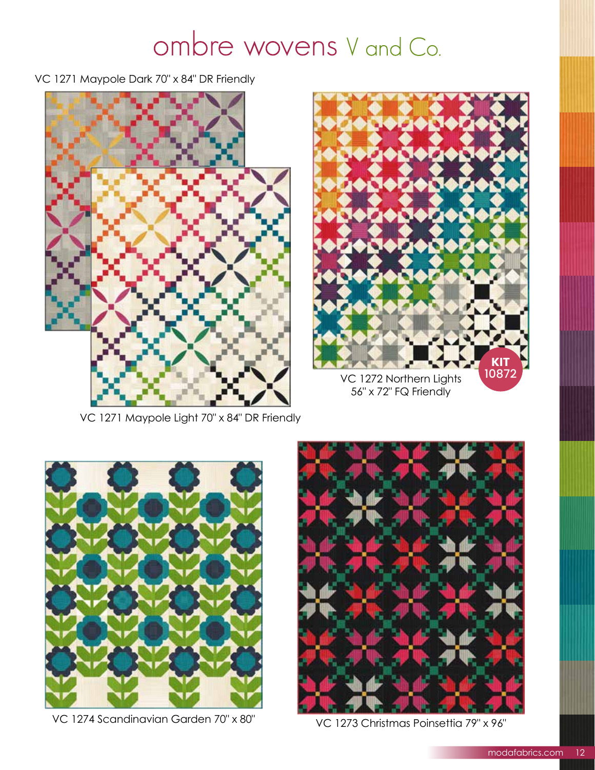### ombre wovens V and Co.

VC 1271 Maypole Dark 70" x 84" DR Friendly



VC 1271 Maypole Light 70" x 84" DR Friendly



56" x 72" FQ Friendly



VC 1274 Scandinavian Garden 70" x 80" VC 1273 Christmas Poinsettia 79" x 96"

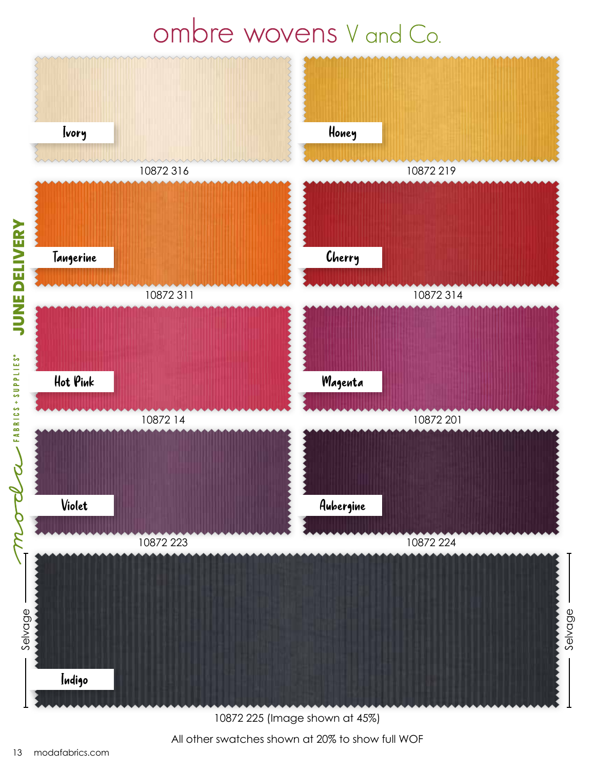### ombre wovens V and Co.



All other swatches shown at 20% to show full WOF